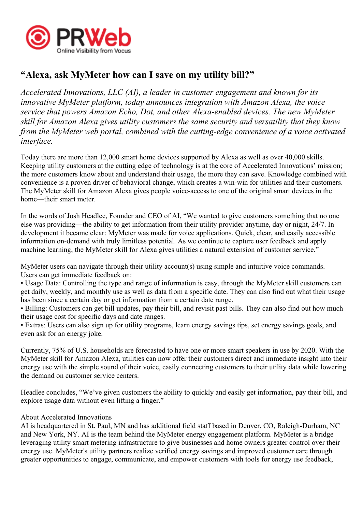

## **"Alexa, ask MyMeter how can I save on my utility bill?"**

*Accelerated Innovations, LLC (AI), <sup>a</sup> leader in customer engagemen<sup>t</sup> and known for its innovative MyMeter platform, today announces integration with Amazon Alexa, the voice service that powers Amazon Echo, Dot, and other Alexa-enabled devices. The new MyMeter skill for Amazon Alexa gives utility customers the same security and versatility that they know from the MyMeter web portal, combined with the cutting-edge convenience of <sup>a</sup> voice activated interface.*

Today there are more than 12,000 smart home devices supported by Alexa as well as over 40,000 skills. Keeping utility customers at the cutting edge of technology is at the core of Accelerated Innovations' mission; the more customers know about and understand their usage, the more they can save. Knowledge combined with convenience is <sup>a</sup> proven driver of behavioral change, which creates <sup>a</sup> win-win for utilities and their customers. The MyMeter skill for Amazon Alexa gives people voice-access to one of the original smart devices in the home—their smart meter.

In the words of Josh Headlee, Founder and CEO of AI, "We wanted to give customers something that no one else was providing—the ability to ge<sup>t</sup> information from their utility provider anytime, day or night, 24/7. In development it became clear: MyMeter was made for voice applications. Quick, clear, and easily accessible information on-demand with truly limitless potential. As we continue to capture user feedback and apply machine learning, the MyMeter skill for Alexa gives utilities <sup>a</sup> natural extension of customer service."

MyMeter users can navigate through their utility account(s) using simple and intuitive voice commands. Users can ge<sup>t</sup> immediate feedback on:

• Usage Data: Controlling the type and range of information is easy, through the MyMeter skill customers can ge<sup>t</sup> daily, weekly, and monthly use as well as data from <sup>a</sup> specific date. They can also find out what their usage has been since <sup>a</sup> certain day or ge<sup>t</sup> information from <sup>a</sup> certain date range.

• Billing: Customers can ge<sup>t</sup> bill updates, pay their bill, and revisit pas<sup>t</sup> bills. They can also find out how much their usage cost for specific days and date ranges.

• Extras: Users can also sign up for utility programs, learn energy savings tips, set energy savings goals, and even ask for an energy joke.

Currently, 75% of U.S. households are forecasted to have one or more smart speakers in use by 2020. With the MyMeter skill for Amazon Alexa, utilities can now offer their customers direct and immediate insight into their energy use with the simple sound of their voice, easily connecting customers to their utility data while lowering the demand on customer service centers.

Headlee concludes, "We've given customers the ability to quickly and easily get information, pay their bill, and explore usage data without even lifting <sup>a</sup> finger."

## About Accelerated Innovations

AI is headquartered in St. Paul, MN and has additional field staff based in Denver, CO, Raleigh-Durham, NC and New York, NY. AI is the team behind the MyMeter energy engagemen<sup>t</sup> platform. MyMeter is <sup>a</sup> bridge leveraging utility smart metering infrastructure to give businesses and home owners greater control over their energy use. MyMeter's utility partners realize verified energy savings and improved customer care through greater opportunities to engage, communicate, and empower customers with tools for energy use feedback,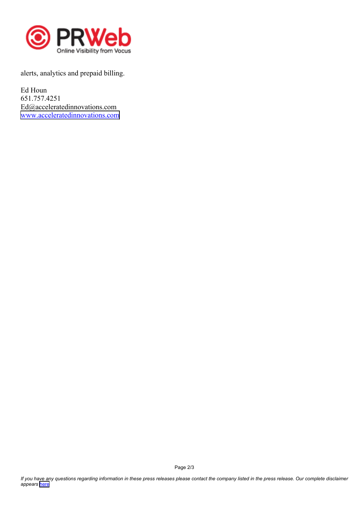

alerts, analytics and prepaid billing.

Ed Houn 651.757.4251 Ed@acceleratedinnovations.com [www.acceleratedinnovations.com](https://acceleratedinnovations.com)